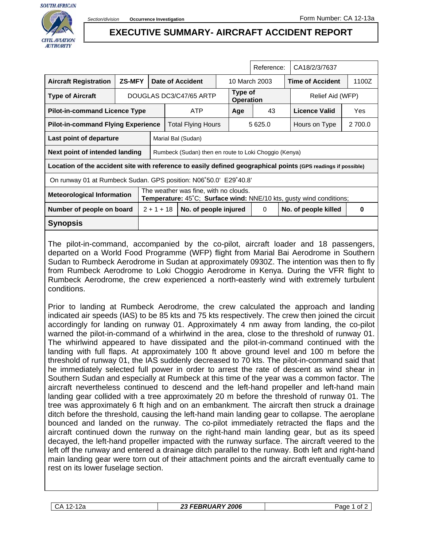

## **EXECUTIVE SUMMARY- AIRCRAFT ACCIDENT REPORT**

|                                                                                                               |               |                                                                                                                                      |                                                       |                       |               |                             | Reference: | CA18/2/3/7637           |            |  |
|---------------------------------------------------------------------------------------------------------------|---------------|--------------------------------------------------------------------------------------------------------------------------------------|-------------------------------------------------------|-----------------------|---------------|-----------------------------|------------|-------------------------|------------|--|
| <b>Aircraft Registration</b>                                                                                  | <b>ZS-MFY</b> | Date of Accident                                                                                                                     |                                                       |                       | 10 March 2003 |                             |            | <b>Time of Accident</b> | 1100Z      |  |
| <b>Type of Aircraft</b>                                                                                       |               | DOUGLAS DC3/C47/65 ARTP                                                                                                              |                                                       |                       |               | Type of<br><b>Operation</b> |            | Relief Aid (WFP)        |            |  |
| <b>Pilot-in-command Licence Type</b>                                                                          |               |                                                                                                                                      | <b>ATP</b>                                            |                       |               | Age                         | 43         | Licence Valid           | <b>Yes</b> |  |
| <b>Pilot-in-command Flying Experience</b>                                                                     |               |                                                                                                                                      | Total Flying Hours                                    |                       |               | 5 625.0                     |            | Hours on Type           | 2 700.0    |  |
| Last point of departure                                                                                       |               |                                                                                                                                      | Marial Bal (Sudan)                                    |                       |               |                             |            |                         |            |  |
| Next point of intended landing                                                                                |               |                                                                                                                                      | Rumbeck (Sudan) then en route to Loki Choggio (Kenya) |                       |               |                             |            |                         |            |  |
| Location of the accident site with reference to easily defined geographical points (GPS readings if possible) |               |                                                                                                                                      |                                                       |                       |               |                             |            |                         |            |  |
| On runway 01 at Rumbeck Sudan. GPS position: N06°50.0' E29°40.8'                                              |               |                                                                                                                                      |                                                       |                       |               |                             |            |                         |            |  |
| <b>Meteorological Information</b>                                                                             |               | The weather was fine, with no clouds.<br><b>Temperature:</b> $45^{\circ}$ C; <b>Surface wind:</b> NNE/10 kts, gusty wind conditions; |                                                       |                       |               |                             |            |                         |            |  |
| Number of people on board                                                                                     |               | $2 + 1 + 18$                                                                                                                         |                                                       | No. of people injured |               |                             | $\Omega$   | No. of people killed    | 0          |  |
| Synopsis                                                                                                      |               |                                                                                                                                      |                                                       |                       |               |                             |            |                         |            |  |
|                                                                                                               |               |                                                                                                                                      |                                                       |                       |               |                             |            |                         |            |  |

The pilot-in-command, accompanied by the co-pilot, aircraft loader and 18 passengers, departed on a World Food Programme (WFP) flight from Marial Bai Aerodrome in Southern Sudan to Rumbeck Aerodrome in Sudan at approximately 0930Z. The intention was then to fly from Rumbeck Aerodrome to Loki Choggio Aerodrome in Kenya. During the VFR flight to Rumbeck Aerodrome, the crew experienced a north-easterly wind with extremely turbulent conditions.

Prior to landing at Rumbeck Aerodrome, the crew calculated the approach and landing indicated air speeds (IAS) to be 85 kts and 75 kts respectively. The crew then joined the circuit accordingly for landing on runway 01. Approximately 4 nm away from landing, the co-pilot warned the pilot-in-command of a whirlwind in the area, close to the threshold of runway 01. The whirlwind appeared to have dissipated and the pilot-in-command continued with the landing with full flaps. At approximately 100 ft above ground level and 100 m before the threshold of runway 01, the IAS suddenly decreased to 70 kts. The pilot-in-command said that he immediately selected full power in order to arrest the rate of descent as wind shear in Southern Sudan and especially at Rumbeck at this time of the year was a common factor. The aircraft nevertheless continued to descend and the left-hand propeller and left-hand main landing gear collided with a tree approximately 20 m before the threshold of runway 01. The tree was approximately 6 ft high and on an embankment. The aircraft then struck a drainage ditch before the threshold, causing the left-hand main landing gear to collapse. The aeroplane bounced and landed on the runway. The co-pilot immediately retracted the flaps and the aircraft continued down the runway on the right-hand main landing gear, but as its speed decayed, the left-hand propeller impacted with the runway surface. The aircraft veered to the left off the runway and entered a drainage ditch parallel to the runway. Both left and right-hand main landing gear were torn out of their attachment points and the aircraft eventually came to rest on its lower fuselage section.